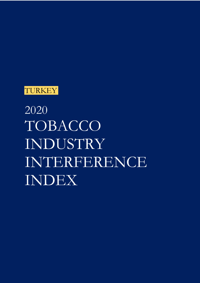

2020 TOBACCO INDUSTRY INTERFERENCE INDEX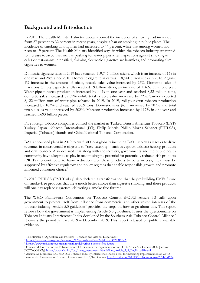# **Background and Introduction**

In 2019, The Health Minister Fahrettin Koca reported the incidence of smoking had increased from 27 percent to 32 percent in recent years, despite a ban on smoking in public places. The incidence of smoking among men had increased to 44 percent, while that among women had risen to 19 percent. The Health Ministry identified ways in which the tobacco industry attempted to increase tobacco use, such as pushing for water pipes after inspections against smoking in cafes or restaurants intensified, claiming electronic cigarettes are harmless, and promoting slim cigarettes to women.

Domestic cigarette sales in 2019 have reached 119,747 billion sticks, which is an increase of 1% in one year, and 28% since 2010. Domestic cigarette sales was 118,541 billion sticks in 2018. Against 1% increase in the amount of sticks, taxable sales value increased by 23%. Domestic sales of macarons (empty cigarette shells) reached 19 billion sticks, an increase of 116.67 % in one year. Water-pipe tobacco production increased by 44% in one year and reached 8,22 million tons, domestic sales increased by 52% -while total taxable value increased by 72%. Turkey exported 8,122 million tons of water-pipe tobacco in 2019. In 2019, roll-your-own tobacco production increased by 103% and reached 780,9 tons. Domestic sales (ton) increased by 107% and total taxable sales value increased by 202%. Macaron production increased by 117% in one year and reached 3,693 billion pieces.<sup>1</sup>

Five foreign tobacco companies control the market in Turkey: British American Tobacco (BAT) Turkey, Japan Tobacco International (JTI), Philip Morris Phillip Morris Sabancı (PHILSA), Imperial (Tobacco) Brands and China National Tobacco Corporation.

BAT announced plans in 2019 to cut 2,300 jobs globally including BAT Turkey as it seeks to drive revenues in controversial e-cigarette to "new category" -such as vapour, tobacco heating products and oral tobacco. Also declared that along with the industry, governments and the public health community have a key role to play in maximising the potential for potentially reduced-risk products (PRRPs) to contribute to harm reduction. For these products to be a success, they must be supported by effective regulatory and policy regimes that enable responsible growth and promote informed consumer choice.<sup>2</sup>

In 2019, PHILSA (PMI Turkey) also declared a transformation that they're building PMI's future on smoke-free products that are a much better choice than cigarette smoking, and these products will one day replace cigarettes -delivering a smoke free future.<sup>3</sup>

The WHO Framework Convention on Tobacco Control (FCTC) Article 5.3 calls upon government to protect itself from influence from commercial and other vested interests of the tobacco industry. Article 5.3 guidelines<sup>4</sup> provides the steps on how to go about this. This report reviews how the government is implementing Article 5.3 guidelines. It uses the questionnaire on Tobacco Industry Interference Index developed by the Southeas Asia Tobacco Control Alliance.<sup>5</sup> It covers the period January 2019 – December 2019. This report is based on publicly available evidence.

<sup>5</sup> Assunta M. Dorotheo E.U. SEATCA Tobacco Industry Interference Index: a tool for measuring implementation of WHO Framework Convention on Tobacco Control Article 5.3; Tob Control http://dx.doi.org/10.1136/tobaccocontrol-2014-051934

<sup>1</sup> The Ministry of Agriculture and Forestry – Tobacco and Alcohol Department

<sup>2</sup> https://www.bat.com/group/sites/uk\_\_9d9kcy.nsf/vwPagesWebLive/DO9DFFYA

<sup>3</sup> https://www.pmi.com/our-transformation/delivering-a-smoke-free-future

<sup>4</sup> Framework Convention on Tobacco Control. Guidelines for implementation of FCTC Article 5.3, Geneva 2008, [decision FCTC/COP3(7)] http://www.who.int/fctc/treaty\_instruments/Guidelines\_Article\_5\_3\_English.pdf?ua=1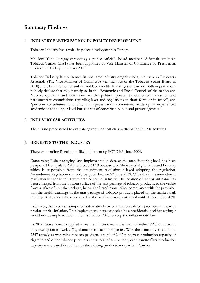## **Summary Findings**

#### 1. **INDUSTRY PARTICIPATION IN POLICY DEVELOPMENT**

Tobacco Industry has a voice in policy development in Turkey.

Mr. Riza Tuna Turagay (previously a public official), board member of British American Tobacco Turkey (BAT) has been appointed as Vice Minister of Commerce by Presidential Decision in Turkey in January 2019.

Tobacco Industry is represented in two large industry organizations, the Turkish Exporters Assembly (The Vice Minister of Commerce was member of the Tobacco Sector Board in 2018) and The Union of Chambers and Commodity Exchanges of Turkey. Both organizations publicly declare that they participate in the Economic and Social Council of the nation and "submit opinions and comments to the political power, to cornerned ministries and parliamentary commissions regarding laws and regulations in draft form or in force", and "perform consultative functions, with specialization committees made up of experienced academicians and upper-level bureaucrats of concerned public and private agencies".

#### 2. **INDUSTRY CSR ACTIVITIES**

There is no proof noted to evaluate government officials participation in CSR activities.

#### 3. **BENEFITS TO THE INDUSTRY**

There are pending Regulations like implementing FCTC 5.3 since 2004.

Concerning Plain packaging law; implementation date at the manufacturing level has been postponed from July 5, 2019 to Dec. 5, 2019 because The Ministry of Agriculture and Forestry which is responsible from the amendment regulation delayed adopting the regulation. Amendment Regulation can only be published on 27 June 2019. With the same amendment regulation further benefits were granted to the Industry. The location of the variant name has been changed from the bottom surface of the unit package of tobacco products, to the visible front surface of unit the package, below the brand name. Also, compliance with the provision that the health warnings in the unit package of tobacco products placed on the market shall not be partially concealed or covered by the banderole was postponed until 31 December 2020.

In Turkey, the fixed tax is imposed automatically twice a year on tobacco products in line with producer price inflation. This implementation was canceled by a presidential decision saying it would not be implemented in the first half of 2020 to keep the inflation rate low.

In 2019, Government supplied investment incentives in the form of either VAT or customs duty exemption to twelve (12) domestic tobacco companies. With these incentives, a total of 2547 tons/year waterpipe tobacco products, a total of 2447 tons/year production capacity of cigarette and other tobacco products and a total of 4.6 billion/year cigarette filter production capacity was created in addition to the existing production capacity in Turkey.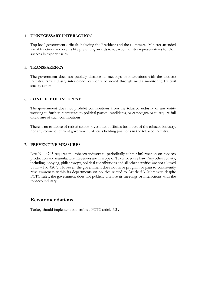#### 4. **UNNECESSARY INTERACTION**

Top level government officials including the President and the Commerce Minister attended social functions and events like presenting awards to tobacco industry representatives for their success in exports/sales.

#### 5. **TRANSPARENCY**

The government does not publicly disclose its meetings or interactions with the tobacco industry. Any industry interference can only be noted through media monitoring by civil society actors.

#### 6. **CONFLICT OF INTEREST**

The government does not prohibit contributions from the tobacco industry or any entity working to further its interests to political parties, candidates, or campaigns or to require full disclosure of such contributions.

There is no evidence of retired senior government officials form part of the tobacco industry, nor any record of current government officials holding positions in the tobacco industry.

#### 7. **PREVENTIVE MEASURES**

Law No. 4703 requires the tobacco industry to periodically submit information on tobacco production and manufacture. Revenues are in scope of Tax Procedure Law. Any other activity, including lobbying, philanthropy, political contributions and all other activities are not allowed by Law No 4207. However, the government does not have program or plan to consistently raise awareness within its departments on policies related to Article 5.3. Moreover, despite FCTC rules, the government does not publicly disclose its meetings or interactions with the tobacco industry.

### **Recommendations**

Turkey should implement and enforce FCTC article 5.3 .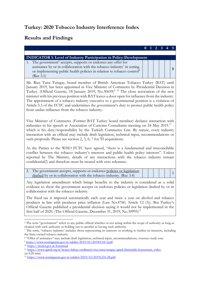# **Turkey: 2020 Tobacco Industry Interference Index**

# **Results and Findings**

|                                                                                                                                                                                                                                                                                                                                                                                                                                                                                                                                                                                                                                                  | $\bf{0}$ |  | 2 |  |   |  |  |  |  |
|--------------------------------------------------------------------------------------------------------------------------------------------------------------------------------------------------------------------------------------------------------------------------------------------------------------------------------------------------------------------------------------------------------------------------------------------------------------------------------------------------------------------------------------------------------------------------------------------------------------------------------------------------|----------|--|---|--|---|--|--|--|--|
|                                                                                                                                                                                                                                                                                                                                                                                                                                                                                                                                                                                                                                                  |          |  |   |  |   |  |  |  |  |
| <b>INDICATOR 1: Level of Industry Participation in Policy-Development</b><br>The government <sup>6</sup> accepts, supports or endorses any offer for<br>1.<br>assistance by or in collaboration with the tobacco industry <sup>7</sup> in setting<br>or implementing public health policies in relation to tobacco control <sup>8</sup><br>(Rec 3.1)                                                                                                                                                                                                                                                                                             |          |  |   |  | 5 |  |  |  |  |
| Mr. Riza Tuna Turagay, board member of British American Tobacco Turkey (BAT) until<br>January 2019, has been appointed as Vice Minister of Commerce by Presidential Decision in<br>Turkey. (Official Gazette, 18 January 2019, No.30659) <sup>9 10</sup> The close association of the new<br>minister with his previous position with BAT leaves a door open for influence from the industry.<br>The appointment of a tobacco industry executive to a governmental position is a violation of<br>Article 5.3 of the FCTC and undermines the government's duty to protect public health policy<br>from undue influence from the tobacco industry. |          |  |   |  |   |  |  |  |  |
| Vice Minister of Commerce (Former BAT Turkey board member) declares interaction with<br>industries in his speech at Association of Customs Consultants meeting on 24 May 2019. <sup>11</sup> -<br>which is his duty/responsibility by the Turkish Commerce Law. By nature, every industry<br>interaction with an official may include draft legislation, technical input, recommendations or<br>such proposals. Please see section 2, 3, 6, 7 for TI acquisitions.                                                                                                                                                                               |          |  |   |  |   |  |  |  |  |
| As the Parties to the WHO FCTC have agreed, "there is a fundamental and irreconcilable<br>conflict between the tobacco industry's interests and public health policy interests". Unless<br>reported by The Ministry, details of any interactions with the tobacco industry remain<br>confidential(!) and therefore must be treated with zero tolerance.                                                                                                                                                                                                                                                                                          |          |  |   |  |   |  |  |  |  |
| 2. The government accepts, supports or endorses policies or legislation<br>drafted by or in collaboration with the tobacco industry. (Rec 3.4)                                                                                                                                                                                                                                                                                                                                                                                                                                                                                                   |          |  |   |  | 5 |  |  |  |  |
| Any legislation amendment which brings benefits to the industry is considered as a solid<br>evidence to show the government accepts or endorses policies or legislation drafted by or in<br>collaboration with the tobacco industry.                                                                                                                                                                                                                                                                                                                                                                                                             |          |  |   |  |   |  |  |  |  |
| The fixed tax is imposed automatically each year and twice a year on alcohol and tobacco<br>products in line with producer price inflation (Law No.4760, Article 12 (3)). But Turkey's<br>Official Gazette published a presidential decision saying it would not be implemented in the<br>first half of 2020. (The Official Gazette, December 31, 2019, No.30995) <sup>12</sup>                                                                                                                                                                                                                                                                  |          |  |   |  |   |  |  |  |  |
| <sup>6</sup> The term "government" refers to any public official whether or not acting within the scope of authority as long as                                                                                                                                                                                                                                                                                                                                                                                                                                                                                                                  |          |  |   |  |   |  |  |  |  |

cloaked with such authority or holding out to another as having such authority <sup>7</sup> The term, "tobacco industry' includes those representing its interests or working to further its interests, including

the State-owned tobacco industry.

<sup>&</sup>lt;sup>8</sup> "Offer of assistance" may include draft legislation, technical input, recommendations, oversees study tour <sup>9</sup> https://www.resmigazete.gov.tr/eskiler/2019/01/20190118-3.pdf

<sup>&</sup>lt;sup>10</sup> https://ticaret.gov.tr/kurumsal

<sup>11</sup> https://www.igmd.org.tr/ticaret-bakan-yardimcisi-riza-tuna-turagay-igmd-iftarindaki-konusmasi\_video  $(at 5:20 min)$ 

<sup>&</sup>lt;sup>12</sup> https://www.resmigazete.gov.tr/eskiler/2019/12/20191231-28.pdf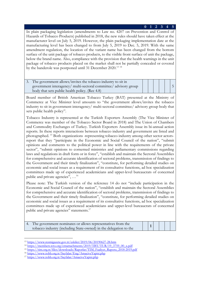#### **0 1 2 3 4 5**

In plain packaging legislation (amendments to Law no. 4207 on Prevention and Control of Hazards of Tobacco Products) published in 2018, the new rules should have taken effect at the manufacturer level on July 5, 2019. However, the plain packaging implementation date at the manufacturing level has been changed to from July 5, 2019 to Dec. 5, 2019. With the same amendment regulation, the location of the variant name has been changed from the bottom surface of the unit package of tobacco products, to the visible front surface of unit the package, below the brand name. Also, compliance with the provision that the health warnings in the unit package of tobacco products placed on the market shall not be partially concealed or covered by the banderole was postponed until 31 December 2020.<sup>13 14</sup>

| 3. The government allows/invites the tobacco industry to sit in  |  |  |  |
|------------------------------------------------------------------|--|--|--|
| government interagency/ multi-sectoral committee/ advisory group |  |  |  |
| body that sets public health policy. (Rec 4.8)                   |  |  |  |

Board member of British American Tobacco Turkey (BAT) presented at the Ministry of Commerce at Vice Minister level amounts to "the government allows/invites the tobacco industry to sit in government interagency/ multi-sectoral committee/ advisory group body that sets public health policy".

Tobacco Industry is represented at the Turkish Exporters Assembly (The Vice Minister of Commerce was member of the Tobacco Sector Board in 2018) and The Union of Chambers and Commodity Exchanges of Turkey. Turkish Exporters Assembly issue its bi-annual action reports. In these reports interactions between tobacco industry and government are listed and photographed. 15 Both organizations -representing tobacco industry among other sector actorsreport that they "participate in the Economic and Social Council of the nation", "submit opinions and comments to the political power in line with the requirements of the private sector", "submit opinions to cornerned ministries and parliamentary commissions regarding laws and regulations in draft form or in force", "establish and maintain the Sectoral Assemblies for comprehensive and accurate identification of sectoral problems, transmission of findings to the Government and their timely finalization", "constitute, for performing detailed studies on economic and social issues as a requirement of its consultative functions, ad hoc specialization committees made up of experienced academicians and upper-level bureaucrats of concerned public and private agencies", ...<sup>16</sup>

Please note: The Turkish version of the reference 14 do not "include participation in the Economic and Social Council of the nation", "establish and maintain the Sectoral Assemblies for comprehensive and accurate identification of sectoral problems, transmission of findings to the Government and their timely finalization", "constitute, for performing detailed studies on economic and social issues as a requirement of its consultative functions, ad hoc specialization committees made up of experienced academicians and upper-level bureaucrats of concerned public and private agencies" statements.17

| The government nominates or allows representatives from the       |  |  |  |
|-------------------------------------------------------------------|--|--|--|
| tobacco industry (including State-owned) in the delegation to the |  |  |  |

<sup>13</sup> https://www.resmigazete.gov.tr/eskiler/2019/06/20190627-28.htm

<sup>&</sup>lt;sup>14</sup> https://members.wto.org/crnattachments/2019/TBT/TUR/19\_3759\_00\_x.pdf

<sup>&</sup>lt;sup>15</sup> https://tim.org.tr/files/downloads/Raporlar/TIM\_Faaliyet\_Raporu\_2018-2019.pdf

<sup>16</sup> https://www.tobb.org.tr/Sayfalar/Eng/AmaciveYapisi.php

<sup>17</sup> https://www.tobb.org.tr/Sayfalar/AmaciveYapisi.php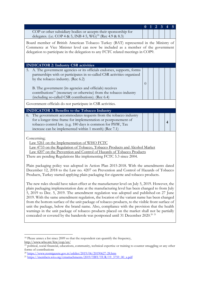|                                                                                                                                                                                                                                                                                                                                                                                                                                                                                                                                                                                                                                                                                                                                                                                                       | $\bf{0}$ |  | 2 | 3 |   |  |  |  |
|-------------------------------------------------------------------------------------------------------------------------------------------------------------------------------------------------------------------------------------------------------------------------------------------------------------------------------------------------------------------------------------------------------------------------------------------------------------------------------------------------------------------------------------------------------------------------------------------------------------------------------------------------------------------------------------------------------------------------------------------------------------------------------------------------------|----------|--|---|---|---|--|--|--|
| COP or other subsidiary bodies or accepts their sponsorship for<br>delegates. (i.e. COP 4 & 5, INB 4 5, WG) <sup>18</sup> (Rec 4.9 & 8.3)                                                                                                                                                                                                                                                                                                                                                                                                                                                                                                                                                                                                                                                             |          |  |   |   |   |  |  |  |
| Board member of British American Tobacco Turkey (BAT) represented in the Ministry of<br>Commerce at Vice Minister level can now be included as a member of the government<br>delegation to participate in the delegation to any FCTC related meetings in COP9.                                                                                                                                                                                                                                                                                                                                                                                                                                                                                                                                        |          |  |   |   |   |  |  |  |
| <b>INDICATOR 2: Industry CSR activities</b>                                                                                                                                                                                                                                                                                                                                                                                                                                                                                                                                                                                                                                                                                                                                                           |          |  |   |   |   |  |  |  |
| A. The government agencies or its officials endorses, supports, forms<br>5.<br>partnerships with or participates in so-called CSR activities organized<br>by the tobacco industry. (Rec 6.2)<br>B. The government (its agencies and officials) receives                                                                                                                                                                                                                                                                                                                                                                                                                                                                                                                                               | $\theta$ |  |   |   |   |  |  |  |
| contributions <sup>19</sup> (monetary or otherwise) from the tobacco industry<br>(including so-called CSR contributions). (Rec 6.4)                                                                                                                                                                                                                                                                                                                                                                                                                                                                                                                                                                                                                                                                   |          |  |   |   |   |  |  |  |
| Government officials do not participate in CSR activities.                                                                                                                                                                                                                                                                                                                                                                                                                                                                                                                                                                                                                                                                                                                                            |          |  |   |   |   |  |  |  |
| <b>INDICATOR 3: Benefits to the Tobacco Industry</b>                                                                                                                                                                                                                                                                                                                                                                                                                                                                                                                                                                                                                                                                                                                                                  |          |  |   |   |   |  |  |  |
| The government accommodates requests from the tobacco industry<br>6.<br>for a longer time frame for implementation or postponement of<br>tobacco control law. (e.g. 180 days is common for PHW, Tax<br>increase can be implemented within 1 month) (Rec 7.1)                                                                                                                                                                                                                                                                                                                                                                                                                                                                                                                                          |          |  |   |   | 4 |  |  |  |
| Concerning;<br>Law 5261 on the Implementation of WHO FCTC<br>Law 4733 on the Regulation of Tobacco, Tobacco Products and Alcohol Market<br>Law 4207 on the Prevention and Control of Hazards of Tobacco Products<br>There are pending Regulations like implementing FCTC 5.3 since 2004.                                                                                                                                                                                                                                                                                                                                                                                                                                                                                                              |          |  |   |   |   |  |  |  |
| Plain packaging policy was adopted in Action Plan 2015-2018. With the amendments dated<br>December 12, 2018 to the Law no. 4207 on Prevention and Control of Hazards of Tobacco<br>Products, Turkey started applying plain packaging for cigarette and tobacco products.                                                                                                                                                                                                                                                                                                                                                                                                                                                                                                                              |          |  |   |   |   |  |  |  |
| The new rules should have taken effect at the manufacturer level on July 5, 2019. However, the<br>plain packaging implementation date at the manufacturing level has been changed to from July<br>5, 2019 to Dec. 5, 2019. The amendment regulation was adopted and published on 27 June<br>2019. With the same amendment regulation, the location of the variant name has been changed<br>from the bottom surface of the unit package of tobacco products, to the visible front surface of<br>unit the package, below the brand name. Also, compliance with the provision that the health<br>warnings in the unit package of tobacco products placed on the market shall not be partially<br>concealed or covered by the banderole was postponed until 31 December 2020. <sup>20</sup> <sup>21</sup> |          |  |   |   |   |  |  |  |

<sup>&</sup>lt;sup>18</sup> Please annex a list since 2009 so that the respondent can quantify the frequency, http://www.who.int/fctc/cop/en/

<sup>&</sup>lt;sup>19</sup> political, social financial, educations, community, technical expertise or training to counter smuggling or any other forms of contributions

<sup>20</sup> https://www.resmigazete.gov.tr/eskiler/2019/06/20190627-28.htm

<sup>&</sup>lt;sup>21</sup> https://members.wto.org/crnattachments/2019/TBT/TUR/19\_3759\_00\_x.pdf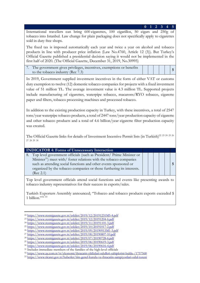International travellers can bring 600 cigarettes, 100 cigarillos, 50 cigars and 250g of tobacco into Istanbul. Law change for plain packaging does not specifically apply to cigarettes sold in duty free shops.

The fixed tax is imposed automatically each year and twice a year on alcohol and tobacco products in line with producer price inflation (Law No.4760, Article 12 (3)). But Turkey's Official Gazette published a presidential decision saying it would not be implemented in the first half of 2020. (The Official Gazette, December 31, 2019, No.30995)

| The government gives privileges, incentives, exemptions or benefits |  |  |  |
|---------------------------------------------------------------------|--|--|--|
| to the tobacco industry (Rec 7.3)                                   |  |  |  |

In 2019, Government supplied investment incentives in the form of either VAT or customs duty exemption to twelve (12) domestic tobacco companies for projects with a fixed investment value of 51 million TL. The average investment value is 4.3 million TL. Supported projects include manufacturing of cigarettes, waterpipe tobacco, macarons/RYO tobacco, cigarette paper and filters, tobacco processing machines and processed tobacco.

In addition to the existing production capacity in Turkey, with these incentives, a total of 2547 tons/year waterpipe tobacco products, a total of 2447 tons/year production capacity of cigarette and other tobacco products and a total of 4.6 billion/year cigarette filter production capacity was created.

The Official Gazette links for details of Investment Incentive Permit lists (in Turkish)<sup>22</sup> <sup>23</sup> <sup>24</sup> <sup>25</sup> <sup>26</sup> 27 28 29 30

| <b>INDICATOR 4: Forms of Unnecessary Interaction</b>                            |  |  |  |
|---------------------------------------------------------------------------------|--|--|--|
| 8. Top level government officials (such as President/ Prime Minister or         |  |  |  |
| Minister <sup>31</sup> ) meet with/ foster relations with the tobacco companies |  |  |  |
| such as attending social functions and other events sponsored or                |  |  |  |
| organized by the tobacco companies or those furthering its interests.           |  |  |  |
| (Rec 2.1)                                                                       |  |  |  |

Top level government officials attend social functions and events like presenting awards to tobacco industry representatives for their success in exports/sales.

Turkish Exporters Assembly announced; "Tobacco and tobacco products exports exceeded \$ 1 billion." $32\overline{33}$ 

<sup>22</sup> https://www.resmigazete.gov.tr/eskiler/2019/12/20191231M5-4.pdf

<sup>23</sup> https://www.resmigazete.gov.tr/eskiler/2019/12/20191204-6.pdf

<sup>24</sup> https://www.resmigazete.gov.tr/eskiler/2019/11/20191101-3.pdf

<sup>25</sup> https://www.resmigazete.gov.tr/eskiler/2019/10/20191017-2.pdf

<sup>26</sup> https://www.resmigazete.gov.tr/eskiler/2019/09/20190913M1-3.pdf

<sup>27</sup> https://www.resmigazete.gov.tr/eskiler/2019/08/20190807-10.pdf

<sup>28</sup> https://www.resmigazete.gov.tr/eskiler/2019/07/20190728-6.pdf

<sup>29</sup> https://www.resmigazete.gov.tr/eskiler/2019/06/20190619-3.pdf

<sup>30</sup> https://www.resmigazete.gov.tr/eskiler/2019/06/20190616-4.pdf

<sup>&</sup>lt;sup>31</sup> Includes immediate members of the families of the high-level officials

<sup>32</sup> https://www.aa.com.tr/tr/ekonomi/ihracatin-yildizlari-odulleri-sahiplerini-buldu-/1757568

<sup>33</sup> https://www.ticaret.gov.tr/haberler/tim-genel-kurulu-ve-ihracatin-sampiyonlari-odul-toreni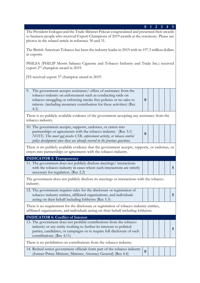**0 1 2 3 4 5** The President Erdogan and the Trade Minister Pekcan congratulated and presented their awards to business people who received Export Champions of 2019 awards at the ceremony. Please see photos in the related article in reference 30 and 31.

The British American Tobacco has been the industry leader in 2019 with its 197.3 million dollars in exports.

PHILSA (PHILIP Morris Sabancı Cigarette and Tobacco Industry and Trade Inc.) received export 2nd champion award in 2019.

JTI received export 3rd champion award in 2019.

| 9. The government accepts assistance/ offers of assistance from the |  |  |  |
|---------------------------------------------------------------------|--|--|--|
| tobacco industry on enforcement such as conducting raids on         |  |  |  |
| tobacco smuggling or enforcing smoke free policies or no sales to   |  |  |  |
| minors. (including monetary contribution for these activities) (Rec |  |  |  |
| 4.3                                                                 |  |  |  |

There is no publicly available evidence of the government accepting any assistance from the tobacco industry.

| 10. The government accepts, supports, endorses, or enters into                    |
|-----------------------------------------------------------------------------------|
| partnerships or agreements with the tobacco industry. (Rec 3.1)                   |
| NOTE: This must <u>not i</u> nvolve CSR, enforcement activity, or tobacco control |
| policy development since these are already covered in the previous questions.     |

There is no publicly available evidence that the government accepts, supports, or endorses, or enters into partnerships or agreements with the tobacco industry.

**0**

| <b>INDICATOR 5: Transparency</b>                                        |  |  |  |
|-------------------------------------------------------------------------|--|--|--|
| 11. The government does not publicly disclose meetings/interactions     |  |  |  |
| with the tobacco industry in cases where such interactions are strictly |  |  |  |
| necessary for regulation. (Rec 2.2)                                     |  |  |  |

The government does not publicly disclose its meetings or interactions with the tobacco industry.

| 12. The government requires rules for the disclosure or registration of |  |  |  |
|-------------------------------------------------------------------------|--|--|--|
| tobacco industry entities, affiliated organizations, and individuals    |  |  |  |
| acting on their behalf including lobbyists (Rec 5.3)                    |  |  |  |

There is no requirement for the disclosure or registration of tobacco industry entities, affiliated organizations, and individuals acting on their behalf including lobbyists.

| <b>INDICATOR 6: Conflict of Interest</b>                                                                                                                                                                                                            |  |  |  |
|-----------------------------------------------------------------------------------------------------------------------------------------------------------------------------------------------------------------------------------------------------|--|--|--|
| 13. The government does not prohibit contributions from the tobacco<br>industry or any entity working to further its interests to political<br>parties, candidates, or campaigns or to require full disclosure of such<br>contributions. (Rec 4.11) |  |  |  |
| There is no prohibition on contributions from the tobacco industry.                                                                                                                                                                                 |  |  |  |
| 14. Retired senior government officials form part of the tobacco industry  <br>(former Prime Minister, Minister, Attorney General) (Rec 4.4)                                                                                                        |  |  |  |